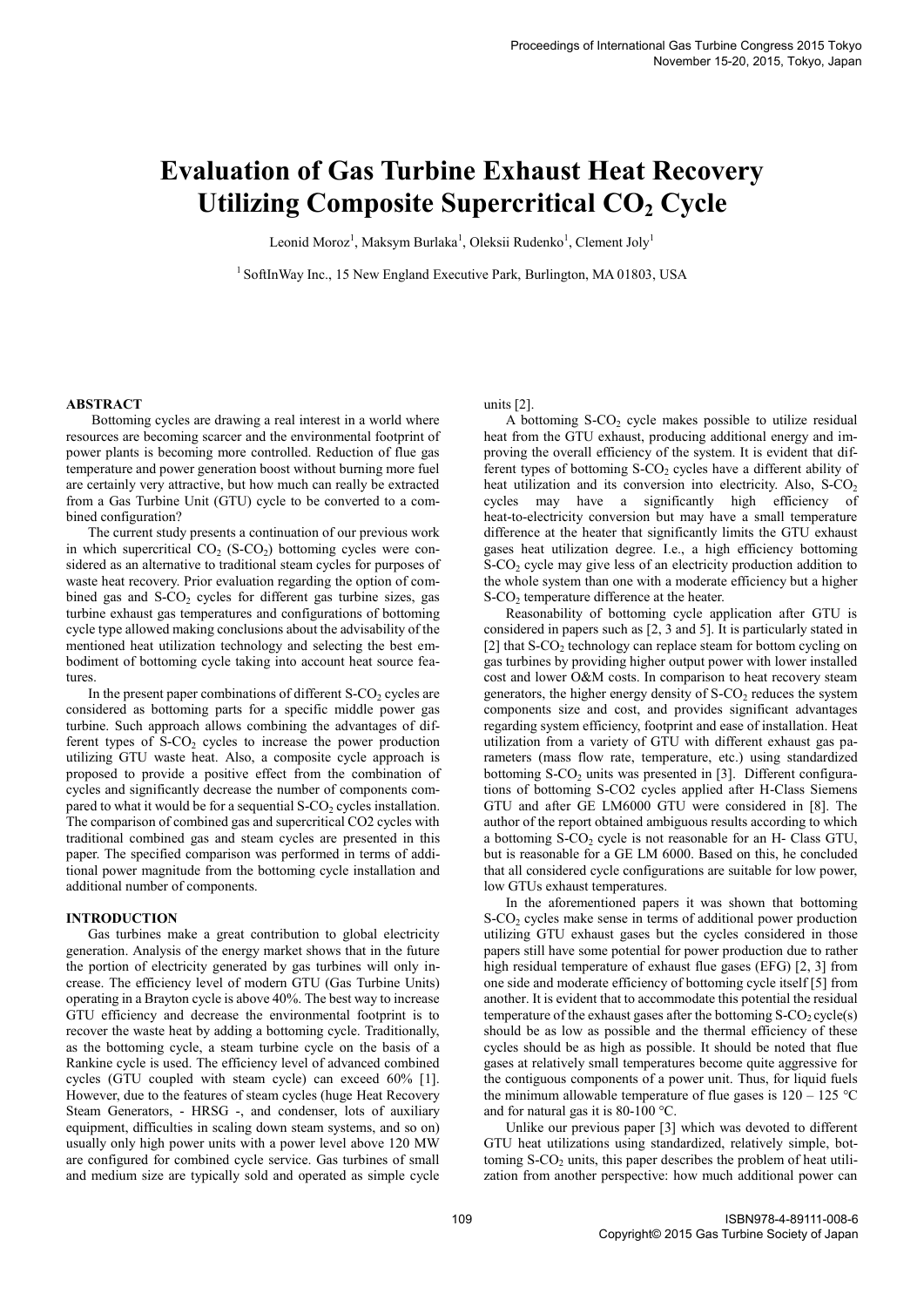# **Evaluation of Gas Turbine Exhaust Heat Recovery Utilizing Composite Supercritical CO<sup>2</sup> Cycle**

Leonid Moroz<sup>1</sup>, Maksym Burlaka<sup>1</sup>, Oleksii Rudenko<sup>1</sup>, Clement Joly<sup>1</sup>

 $1$  SoftInWay Inc., 15 New England Executive Park, Burlington, MA 01803, USA

#### **ABSTRACT**

 Bottoming cycles are drawing a real interest in a world where resources are becoming scarcer and the environmental footprint of power plants is becoming more controlled. Reduction of flue gas temperature and power generation boost without burning more fuel are certainly very attractive, but how much can really be extracted from a Gas Turbine Unit (GTU) cycle to be converted to a combined configuration?

The current study presents a continuation of our previous work in which supercritical  $CO<sub>2</sub>$  (S-CO<sub>2</sub>) bottoming cycles were considered as an alternative to traditional steam cycles for purposes of waste heat recovery. Prior evaluation regarding the option of combined gas and  $S-CO<sub>2</sub>$  cycles for different gas turbine sizes, gas turbine exhaust gas temperatures and configurations of bottoming cycle type allowed making conclusions about the advisability of the mentioned heat utilization technology and selecting the best embodiment of bottoming cycle taking into account heat source features.

In the present paper combinations of different  $S-CO<sub>2</sub>$  cycles are considered as bottoming parts for a specific middle power gas turbine. Such approach allows combining the advantages of different types of  $S-CO<sub>2</sub>$  cycles to increase the power production utilizing GTU waste heat. Also, a composite cycle approach is proposed to provide a positive effect from the combination of cycles and significantly decrease the number of components compared to what it would be for a sequential  $S-CO<sub>2</sub>$  cycles installation. The comparison of combined gas and supercritical CO2 cycles with traditional combined gas and steam cycles are presented in this paper. The specified comparison was performed in terms of additional power magnitude from the bottoming cycle installation and additional number of components.

#### **INTRODUCTION**

Gas turbines make a great contribution to global electricity generation. Analysis of the energy market shows that in the future the portion of electricity generated by gas turbines will only increase. The efficiency level of modern GTU (Gas Turbine Units) operating in a Brayton cycle is above 40%. The best way to increase GTU efficiency and decrease the environmental footprint is to recover the waste heat by adding a bottoming cycle. Traditionally, as the bottoming cycle, a steam turbine cycle on the basis of a Rankine cycle is used. The efficiency level of advanced combined cycles (GTU coupled with steam cycle) can exceed 60% [1]. However, due to the features of steam cycles (huge Heat Recovery Steam Generators, - HRSG -, and condenser, lots of auxiliary equipment, difficulties in scaling down steam systems, and so on) usually only high power units with a power level above 120 MW are configured for combined cycle service. Gas turbines of small and medium size are typically sold and operated as simple cycle units [2].

A bottoming  $S-CO<sub>2</sub>$  cycle makes possible to utilize residual heat from the GTU exhaust, producing additional energy and improving the overall efficiency of the system. It is evident that different types of bottoming  $S-CO<sub>2</sub>$  cycles have a different ability of heat utilization and its conversion into electricity. Also,  $S-CO<sub>2</sub>$ cycles may have a significantly high efficiency of heat-to-electricity conversion but may have a small temperature difference at the heater that significantly limits the GTU exhaust gases heat utilization degree. I.e., a high efficiency bottoming S-CO<sub>2</sub> cycle may give less of an electricity production addition to the whole system than one with a moderate efficiency but a higher S-CO<sup>2</sup> temperature difference at the heater.

Reasonability of bottoming cycle application after GTU is considered in papers such as [2, 3 and 5]. It is particularly stated in [2] that S-CO<sub>2</sub> technology can replace steam for bottom cycling on gas turbines by providing higher output power with lower installed cost and lower O&M costs. In comparison to heat recovery steam generators, the higher energy density of  $S-CO<sub>2</sub>$  reduces the system components size and cost, and provides significant advantages regarding system efficiency, footprint and ease of installation. Heat utilization from a variety of GTU with different exhaust gas parameters (mass flow rate, temperature, etc.) using standardized bottoming  $S-CO<sub>2</sub>$  units was presented in [3]. Different configurations of bottoming S-CO2 cycles applied after H-Class Siemens GTU and after GE LM6000 GTU were considered in [8]. The author of the report obtained ambiguous results according to which a bottoming  $S-CO<sub>2</sub>$  cycle is not reasonable for an H- Class GTU, but is reasonable for a GE LM 6000. Based on this, he concluded that all considered cycle configurations are suitable for low power, low GTUs exhaust temperatures.

In the aforementioned papers it was shown that bottoming  $S-CO<sub>2</sub>$  cycles make sense in terms of additional power production utilizing GTU exhaust gases but the cycles considered in those papers still have some potential for power production due to rather high residual temperature of exhaust flue gases (EFG) [2, 3] from one side and moderate efficiency of bottoming cycle itself [5] from another. It is evident that to accommodate this potential the residual temperature of the exhaust gases after the bottoming  $S-CO<sub>2</sub>$  cycle(s) should be as low as possible and the thermal efficiency of these cycles should be as high as possible. It should be noted that flue gases at relatively small temperatures become quite aggressive for the contiguous components of a power unit. Thus, for liquid fuels the minimum allowable temperature of flue gases is  $120 - 125$  °C and for natural gas it is 80-100 °C.

Unlike our previous paper [3] which was devoted to different GTU heat utilizations using standardized, relatively simple, bottoming  $S-CO<sub>2</sub>$  units, this paper describes the problem of heat utilization from another perspective: how much additional power can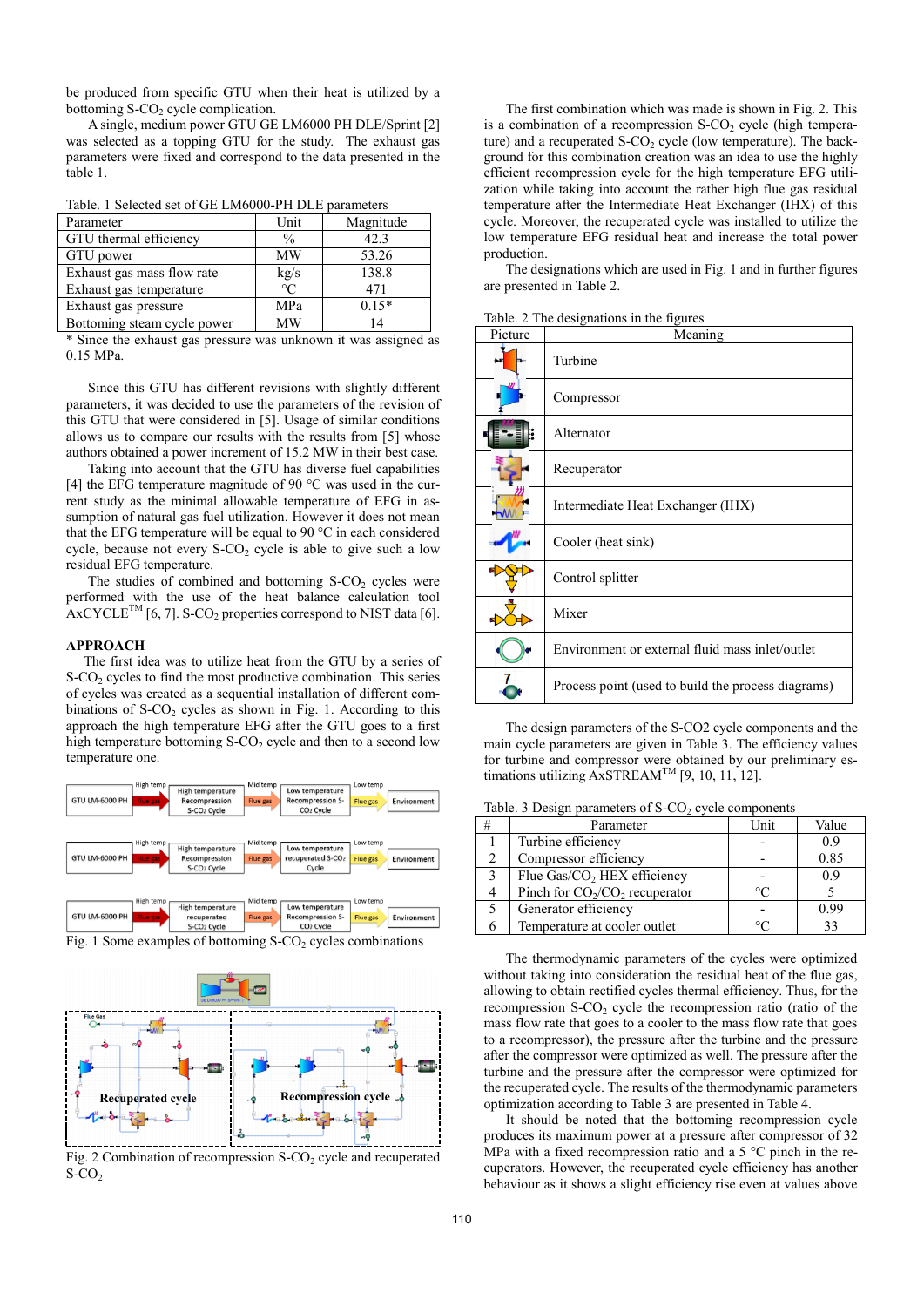be produced from specific GTU when their heat is utilized by a bottoming  $S-CO<sub>2</sub>$  cycle complication.

A single, medium power GTU GE LM6000 PH DLE/Sprint [2] was selected as a topping GTU for the study. The exhaust gas parameters were fixed and correspond to the data presented in the table 1.

|  |  |  | Table. 1 Selected set of GE LM6000-PH DLE parameters |  |  |
|--|--|--|------------------------------------------------------|--|--|
|--|--|--|------------------------------------------------------|--|--|

| Parameter                   | Unit          | Magnitude |
|-----------------------------|---------------|-----------|
| GTU thermal efficiency      | $\frac{0}{0}$ | 42.3      |
| GTU power                   | MW            | 53.26     |
| Exhaust gas mass flow rate  | kg/s          | 138.8     |
| Exhaust gas temperature     | $\circ$ C     | 471       |
| Exhaust gas pressure        | MPa           | $0.15*$   |
| Bottoming steam cycle power | MW            |           |

\* Since the exhaust gas pressure was unknown it was assigned as 0.15 MPa.

Since this GTU has different revisions with slightly different parameters, it was decided to use the parameters of the revision of this GTU that were considered in [5]. Usage of similar conditions allows us to compare our results with the results from [5] whose authors obtained a power increment of 15.2 MW in their best case.

Taking into account that the GTU has diverse fuel capabilities [4] the EFG temperature magnitude of 90 °C was used in the current study as the minimal allowable temperature of EFG in assumption of natural gas fuel utilization. However it does not mean that the EFG temperature will be equal to 90 °C in each considered cycle, because not every  $S-CO<sub>2</sub>$  cycle is able to give such a low residual EFG temperature.

The studies of combined and bottoming  $S-CO<sub>2</sub>$  cycles were performed with the use of the heat balance calculation tool  $A$ xCYCLE<sup>TM</sup> [6, 7]. S-CO<sub>2</sub> properties correspond to NIST data [6].

#### **APPROACH**

 The first idea was to utilize heat from the GTU by a series of  $S-CO<sub>2</sub>$  cycles to find the most productive combination. This series of cycles was created as a sequential installation of different combinations of  $S-CO<sub>2</sub>$  cycles as shown in Fig. 1. According to this approach the high temperature EFG after the GTU goes to a first high temperature bottoming  $S-CO<sub>2</sub>$  cycle and then to a second low temperature one.



Fig. 1 Some examples of bottoming  $S-CO<sub>2</sub>$  cycles combinations



Fig. 2 Combination of recompression  $S-CO<sub>2</sub>$  cycle and recuperated  $S-CO<sub>2</sub>$ 

The first combination which was made is shown in Fig. 2. This is a combination of a recompression  $S-CO<sub>2</sub>$  cycle (high temperature) and a recuperated S-CO<sub>2</sub> cycle (low temperature). The background for this combination creation was an idea to use the highly efficient recompression cycle for the high temperature EFG utilization while taking into account the rather high flue gas residual temperature after the Intermediate Heat Exchanger (IHX) of this cycle. Moreover, the recuperated cycle was installed to utilize the low temperature EFG residual heat and increase the total power production.

The designations which are used in Fig. 1 and in further figures are presented in Table 2.

| Picture | Meaning                                            |
|---------|----------------------------------------------------|
|         | Turbine                                            |
|         | Compressor                                         |
|         | Alternator                                         |
|         | Recuperator                                        |
|         | Intermediate Heat Exchanger (IHX)                  |
|         | Cooler (heat sink)                                 |
|         | Control splitter                                   |
|         | Mixer                                              |
|         | Environment or external fluid mass inlet/outlet    |
|         | Process point (used to build the process diagrams) |

Table. 2 The designations in the figures

The design parameters of the S-CO2 cycle components and the main cycle parameters are given in Table 3. The efficiency values for turbine and compressor were obtained by our preliminary estimations utilizing  $AxSTREAM^{TM}$  [9, 10, 11, 12].

|  |  |  | Table. 3 Design parameters of S-CO <sub>2</sub> cycle components |  |  |  |  |  |  |  |
|--|--|--|------------------------------------------------------------------|--|--|--|--|--|--|--|
|--|--|--|------------------------------------------------------------------|--|--|--|--|--|--|--|

| # | Parameter                               | Unit | Value |
|---|-----------------------------------------|------|-------|
|   | Turbine efficiency                      |      | 0.9   |
|   | Compressor efficiency                   |      | 0.85  |
|   | Flue Gas/CO <sub>2</sub> HEX efficiency |      | 09    |
|   | Pinch for $CO_2/CO_2$ recuperator       |      |       |
|   | Generator efficiency                    |      | 0.99  |
|   | Temperature at cooler outlet            |      |       |

The thermodynamic parameters of the cycles were optimized without taking into consideration the residual heat of the flue gas, allowing to obtain rectified cycles thermal efficiency. Thus, for the recompression S-CO<sub>2</sub> cycle the recompression ratio (ratio of the mass flow rate that goes to a cooler to the mass flow rate that goes to a recompressor), the pressure after the turbine and the pressure after the compressor were optimized as well. The pressure after the turbine and the pressure after the compressor were optimized for the recuperated cycle. The results of the thermodynamic parameters optimization according to Table 3 are presented in Table 4.

It should be noted that the bottoming recompression cycle produces its maximum power at a pressure after compressor of 32 MPa with a fixed recompression ratio and a 5 °C pinch in the recuperators. However, the recuperated cycle efficiency has another behaviour as it shows a slight efficiency rise even at values above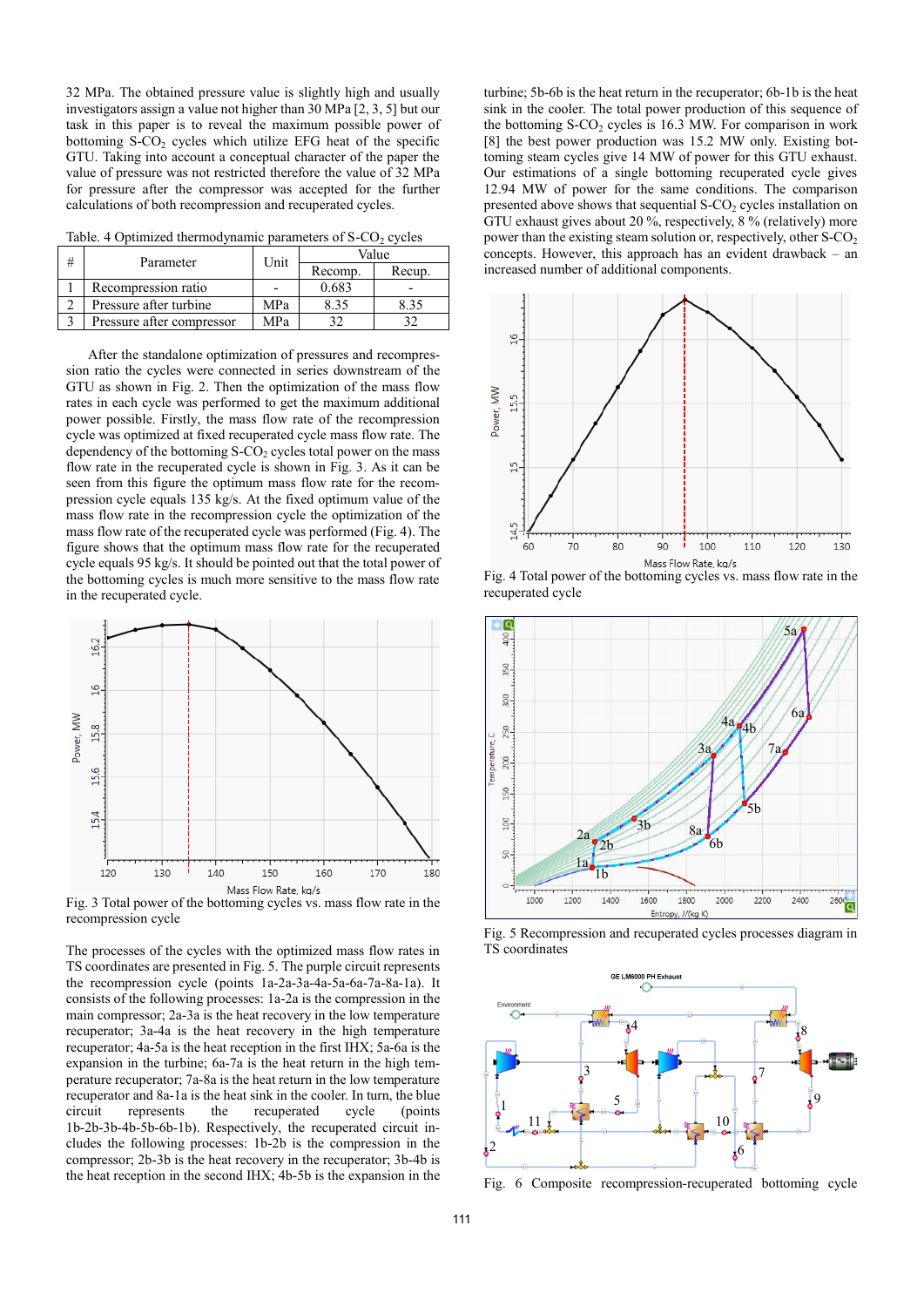32 MPa. The obtained pressure value is slightly high and usually investigators assign a value not higher than 30 MPa [2, 3, 5] but our task in this paper is to reveal the maximum possible power of bottoming  $S-CO<sub>2</sub>$  cycles which utilize EFG heat of the specific GTU. Taking into account a conceptual character of the paper the value of pressure was not restricted therefore the value of 32 MPa for pressure after the compressor was accepted for the further calculations of both recompression and recuperated cycles.

Table. 4 Optimized thermodynamic parameters of  $S-CO<sub>2</sub>$  cycles

| # | Parameter                 | Unit | Value   |        |  |  |
|---|---------------------------|------|---------|--------|--|--|
|   |                           |      | Recomp. | Recup. |  |  |
|   | Recompression ratio       |      | 0.683   | -      |  |  |
|   | Pressure after turbine    | MPa  | 8.35    | 8.35   |  |  |
|   | Pressure after compressor | MPa  |         |        |  |  |

After the standalone optimization of pressures and recompression ratio the cycles were connected in series downstream of the GTU as shown in Fig. 2. Then the optimization of the mass flow rates in each cycle was performed to get the maximum additional power possible. Firstly, the mass flow rate of the recompression cycle was optimized at fixed recuperated cycle mass flow rate. The dependency of the bottoming  $S-CO<sub>2</sub>$  cycles total power on the mass flow rate in the recuperated cycle is shown in Fig. 3. As it can be seen from this figure the optimum mass flow rate for the recompression cycle equals 135 kg/s. At the fixed optimum value of the mass flow rate in the recompression cycle the optimization of the mass flow rate of the recuperated cycle was performed (Fig. 4). The figure shows that the optimum mass flow rate for the recuperated cycle equals 95 kg/s. It should be pointed out that the total power of the bottoming cycles is much more sensitive to the mass flow rate in the recuperated cycle.



Fig. 3 Total power of the bottoming cycles vs. mass flow rate in the recompression cycle

The processes of the cycles with the optimized mass flow rates in TS coordinates are presented in Fig. 5. The purple circuit represents the recompression cycle (points 1a-2a-3a-4a-5a-6a-7a-8a-1a). It consists of the following processes: 1a-2a is the compression in the main compressor; 2a-3a is the heat recovery in the low temperature recuperator; 3a-4a is the heat recovery in the high temperature recuperator; 4a-5a is the heat reception in the first IHX; 5a-6a is the expansion in the turbine; 6a-7a is the heat return in the high temperature recuperator; 7a-8a is the heat return in the low temperature recuperator and 8a-1a is the heat sink in the cooler. In turn, the blue circuit represents the recuperated cycle (points 1b-2b-3b-4b-5b-6b-1b). Respectively, the recuperated circuit includes the following processes: 1b-2b is the compression in the compressor; 2b-3b is the heat recovery in the recuperator; 3b-4b is the heat reception in the second IHX; 4b-5b is the expansion in the turbine; 5b-6b is the heat return in the recuperator; 6b-1b is the heat sink in the cooler. The total power production of this sequence of the bottoming  $S-CO<sub>2</sub>$  cycles is 16.3 MW. For comparison in work [8] the best power production was 15.2 MW only. Existing bottoming steam cycles give 14 MW of power for this GTU exhaust. Our estimations of a single bottoming recuperated cycle gives 12.94 MW of power for the same conditions. The comparison presented above shows that sequential  $S-CO<sub>2</sub>$  cycles installation on GTU exhaust gives about 20 %, respectively, 8 % (relatively) more power than the existing steam solution or, respectively, other  $S-CO<sub>2</sub>$ concepts. However, this approach has an evident drawback – an increased number of additional components.



Fig. 4 Total power of the bottoming cycles vs. mass flow rate in the recuperated cycle



Fig. 5 Recompression and recuperated cycles processes diagram in TS coordinates



6 Composite recompression-recuperated bottoming cycle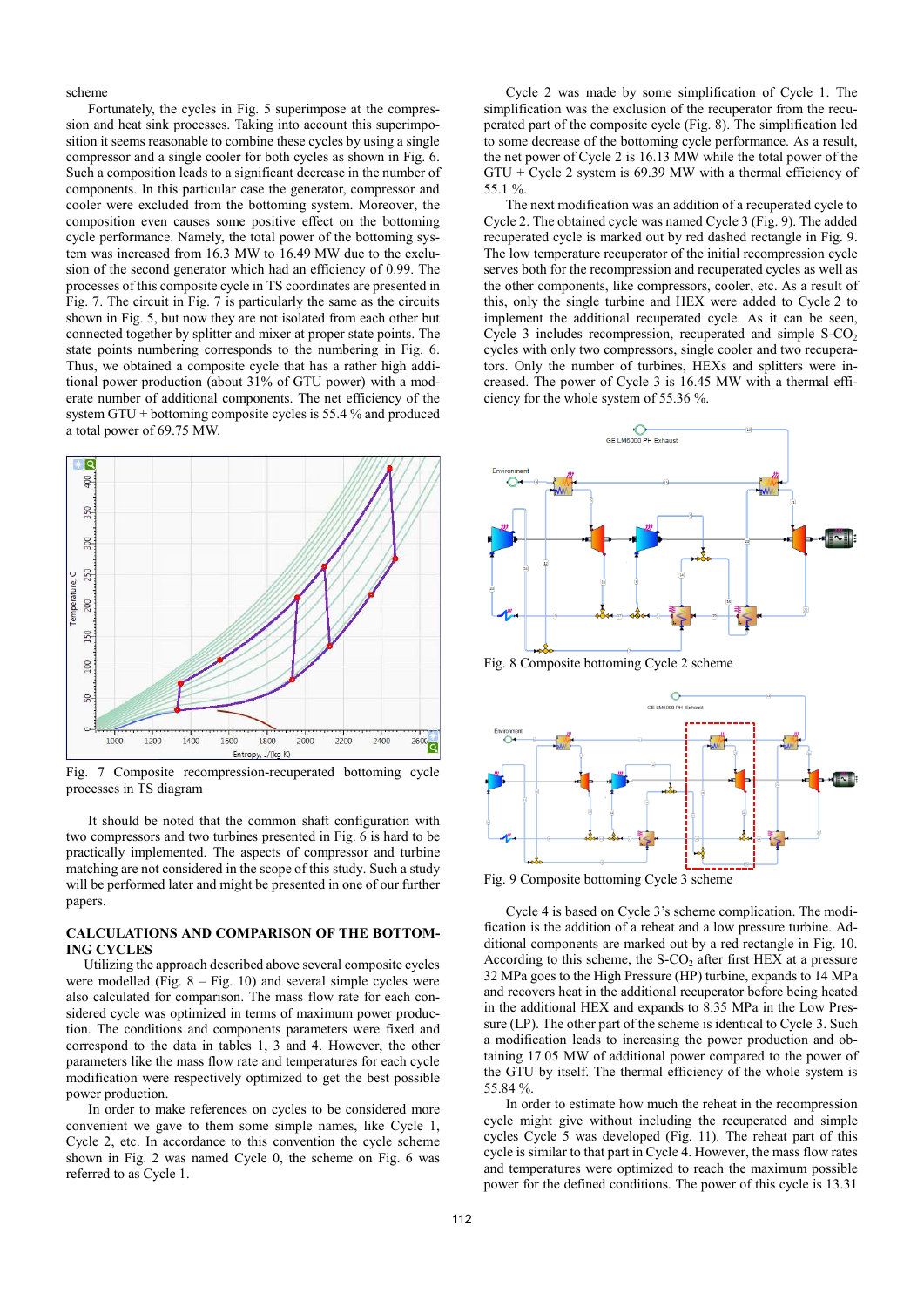scheme

Fortunately, the cycles in Fig. 5 superimpose at the compression and heat sink processes. Taking into account this superimposition it seems reasonable to combine these cycles by using a single compressor and a single cooler for both cycles as shown in Fig. 6. Such a composition leads to a significant decrease in the number of components. In this particular case the generator, compressor and cooler were excluded from the bottoming system. Moreover, the composition even causes some positive effect on the bottoming cycle performance. Namely, the total power of the bottoming system was increased from 16.3 MW to 16.49 MW due to the exclusion of the second generator which had an efficiency of 0.99. The processes of this composite cycle in TS coordinates are presented in Fig. 7. The circuit in Fig. 7 is particularly the same as the circuits shown in Fig. 5, but now they are not isolated from each other but connected together by splitter and mixer at proper state points. The state points numbering corresponds to the numbering in Fig. 6. Thus, we obtained a composite cycle that has a rather high additional power production (about 31% of GTU power) with a moderate number of additional components. The net efficiency of the system GTU + bottoming composite cycles is 55.4 % and produced a total power of 69.75 MW.



Fig. 7 Composite recompression-recuperated bottoming cycle processes in TS diagram

It should be noted that the common shaft configuration with two compressors and two turbines presented in Fig. 6 is hard to be practically implemented. The aspects of compressor and turbine matching are not considered in the scope of this study. Such a study will be performed later and might be presented in one of our further papers.

# **CALCULATIONS AND COMPARISON OF THE BOTTOM-ING CYCLES**

 Utilizing the approach described above several composite cycles were modelled (Fig.  $8 - Fig. 10$ ) and several simple cycles were also calculated for comparison. The mass flow rate for each considered cycle was optimized in terms of maximum power production. The conditions and components parameters were fixed and correspond to the data in tables 1, 3 and 4. However, the other parameters like the mass flow rate and temperatures for each cycle modification were respectively optimized to get the best possible power production.

In order to make references on cycles to be considered more convenient we gave to them some simple names, like Cycle 1, Cycle 2, etc. In accordance to this convention the cycle scheme shown in Fig. 2 was named Cycle 0, the scheme on Fig. 6 was referred to as Cycle 1.

Cycle 2 was made by some simplification of Cycle 1. The simplification was the exclusion of the recuperator from the recuperated part of the composite cycle (Fig. 8). The simplification led to some decrease of the bottoming cycle performance. As a result, the net power of Cycle 2 is 16.13 MW while the total power of the  $GTU + Cycle 2$  system is 69.39 MW with a thermal efficiency of 55.1 %.

The next modification was an addition of a recuperated cycle to Cycle 2. The obtained cycle was named Cycle 3 (Fig. 9). The added recuperated cycle is marked out by red dashed rectangle in Fig. 9. The low temperature recuperator of the initial recompression cycle serves both for the recompression and recuperated cycles as well as the other components, like compressors, cooler, etc. As a result of this, only the single turbine and HEX were added to Cycle 2 to implement the additional recuperated cycle. As it can be seen, Cycle 3 includes recompression, recuperated and simple  $S-CO<sub>2</sub>$ cycles with only two compressors, single cooler and two recuperators. Only the number of turbines, HEXs and splitters were increased. The power of Cycle 3 is 16.45 MW with a thermal efficiency for the whole system of 55.36 %.



Fig. 8 Composite bottoming Cycle 2 scheme



Fig. 9 Composite bottoming Cycle 3 scheme

Cycle 4 is based on Cycle 3's scheme complication. The modification is the addition of a reheat and a low pressure turbine. Additional components are marked out by a red rectangle in Fig. 10. According to this scheme, the  $S-CO<sub>2</sub>$  after first HEX at a pressure 32 MPa goes to the High Pressure (HP) turbine, expands to 14 MPa and recovers heat in the additional recuperator before being heated in the additional HEX and expands to 8.35 MPa in the Low Pressure (LP). The other part of the scheme is identical to Cycle 3. Such a modification leads to increasing the power production and obtaining 17.05 MW of additional power compared to the power of the GTU by itself. The thermal efficiency of the whole system is 55.84 %.

In order to estimate how much the reheat in the recompression cycle might give without including the recuperated and simple cycles Cycle 5 was developed (Fig. 11). The reheat part of this cycle is similar to that part in Cycle 4. However, the mass flow rates and temperatures were optimized to reach the maximum possible power for the defined conditions. The power of this cycle is 13.31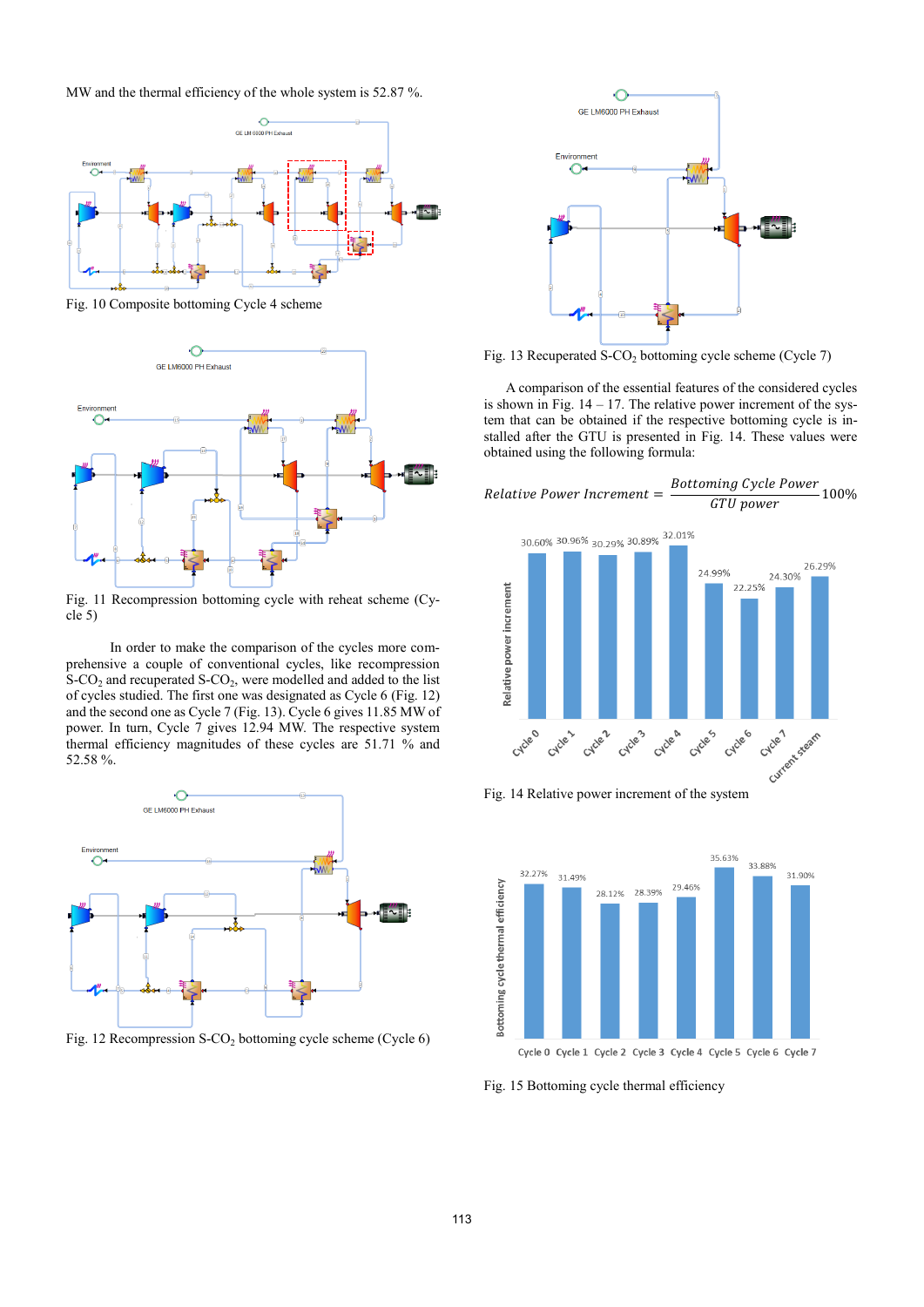MW and the thermal efficiency of the whole system is 52.87 %.



Fig. 10 Composite bottoming Cycle 4 scheme



Fig. 11 Recompression bottoming cycle with reheat scheme (Cycle 5)

In order to make the comparison of the cycles more comprehensive a couple of conventional cycles, like recompression  $S-CO<sub>2</sub>$  and recuperated  $S-CO<sub>2</sub>$ , were modelled and added to the list of cycles studied. The first one was designated as Cycle 6 (Fig. 12) and the second one as Cycle 7 (Fig. 13). Cycle 6 gives 11.85 MW of power. In turn, Cycle 7 gives 12.94 MW. The respective system thermal efficiency magnitudes of these cycles are 51.71 % and 52.58 %.



Fig. 12 Recompression S-CO<sub>2</sub> bottoming cycle scheme (Cycle 6)



Fig. 13 Recuperated S-CO<sub>2</sub> bottoming cycle scheme (Cycle 7)

A comparison of the essential features of the considered cycles is shown in Fig.  $14 - 17$ . The relative power increment of the system that can be obtained if the respective bottoming cycle is installed after the GTU is presented in Fig. 14. These values were obtained using the following formula:









Fig. 15 Bottoming cycle thermal efficiency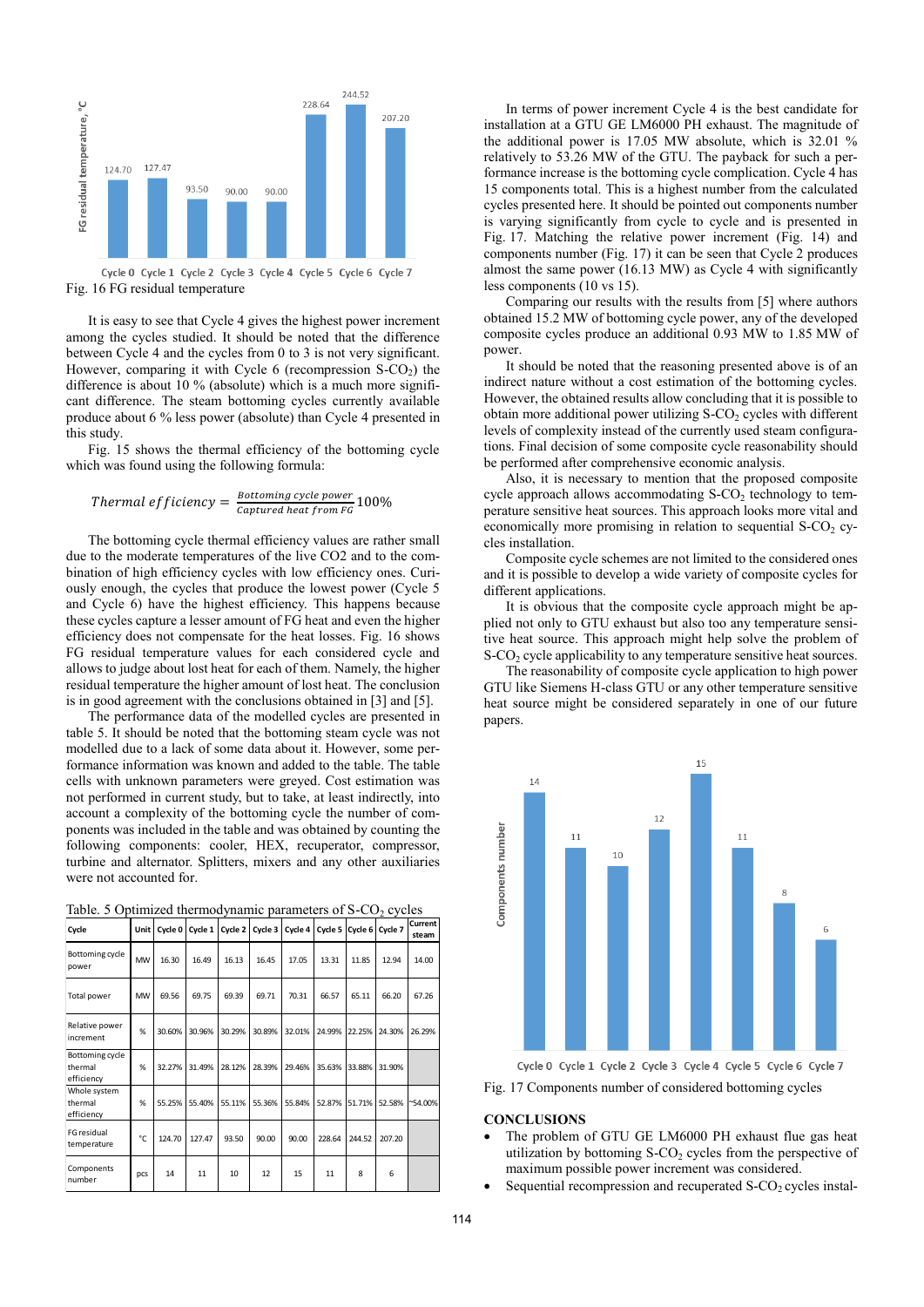

Fig. 16 FG residual temperature

It is easy to see that Cycle 4 gives the highest power increment among the cycles studied. It should be noted that the difference between Cycle 4 and the cycles from 0 to 3 is not very significant. However, comparing it with Cycle  $6$  (recompression S-CO<sub>2</sub>) the difference is about 10 % (absolute) which is a much more significant difference. The steam bottoming cycles currently available produce about 6 % less power (absolute) than Cycle 4 presented in this study.

Fig. 15 shows the thermal efficiency of the bottoming cycle which was found using the following formula:

#### Thermal efficiency  $=$   $\frac{Bottoming\ cycle\ power}{Commut\ best\ few\ EQ}$ **EXECUTE EXECUTE:** 100%<br>Captured heat from FG

The bottoming cycle thermal efficiency values are rather small due to the moderate temperatures of the live CO2 and to the combination of high efficiency cycles with low efficiency ones. Curiously enough, the cycles that produce the lowest power (Cycle 5 and Cycle 6) have the highest efficiency. This happens because these cycles capture a lesser amount of FG heat and even the higher efficiency does not compensate for the heat losses. Fig. 16 shows FG residual temperature values for each considered cycle and allows to judge about lost heat for each of them. Namely, the higher residual temperature the higher amount of lost heat. The conclusion is in good agreement with the conclusions obtained in [3] and [5].

The performance data of the modelled cycles are presented in table 5. It should be noted that the bottoming steam cycle was not modelled due to a lack of some data about it. However, some performance information was known and added to the table. The table cells with unknown parameters were greyed. Cost estimation was not performed in current study, but to take, at least indirectly, into account a complexity of the bottoming cycle the number of components was included in the table and was obtained by counting the following components: cooler, HEX, recuperator, compressor, turbine and alternator. Splitters, mixers and any other auxiliaries were not accounted for.

| Cycle                                    | Unit I    |        | Cycle 0 Cycle 1 |        | Cycle 2   Cycle 3 |        |        |        | Cycle 4   Cycle 5   Cycle 6   Cycle 7 | steam            |
|------------------------------------------|-----------|--------|-----------------|--------|-------------------|--------|--------|--------|---------------------------------------|------------------|
| Bottoming cycle<br>power                 | <b>MW</b> | 16.30  | 16.49           | 16.13  | 16.45             | 17.05  | 13.31  | 11.85  | 12.94                                 | 14.00            |
| Total power                              | <b>MW</b> | 69.56  | 69.75           | 69.39  | 69.71             | 70.31  | 66.57  | 65.11  | 66.20                                 | 67.26            |
| Relative power<br>increment              | %         | 30.60% | 30.96%          | 30.29% | 30.89%            | 32.01% | 24.99% | 22.25% | 24.30%                                | 26.29%           |
| Bottoming cycle<br>thermal<br>efficiency | %         | 32.27% | 31.49%          | 28.12% | 28.39%            | 29.46% | 35.63% | 33.88% | 31.90%                                |                  |
| Whole system<br>thermal<br>efficiency    | %         | 55.25% | 55.40%          | 55.11% | 55.36%            | 55.84% | 52.87% | 51.71% | 52.58%                                | $^{\sim}54.00\%$ |
| FG residual<br>temperature               | °C        | 124.70 | 127.47          | 93.50  | 90.00             | 90.00  | 228.64 | 244.52 | 207.20                                |                  |
| Components<br>number                     | pcs       | 14     | 11              | 10     | 12                | 15     | 11     | 8      | 6                                     |                  |

Table. 5 Optimized thermodynamic parameters of  $S-CO<sub>2</sub>$  cycles **Current** 

In terms of power increment Cycle 4 is the best candidate for installation at a GTU GE LM6000 PH exhaust. The magnitude of the additional power is 17.05 MW absolute, which is 32.01 % relatively to 53.26 MW of the GTU. The payback for such a performance increase is the bottoming cycle complication. Cycle 4 has 15 components total. This is a highest number from the calculated cycles presented here. It should be pointed out components number is varying significantly from cycle to cycle and is presented in Fig. 17. Matching the relative power increment (Fig. 14) and components number (Fig. 17) it can be seen that Cycle 2 produces almost the same power (16.13 MW) as Cycle 4 with significantly less components (10 vs 15).

Comparing our results with the results from [5] where authors obtained 15.2 MW of bottoming cycle power, any of the developed composite cycles produce an additional 0.93 MW to 1.85 MW of power.

It should be noted that the reasoning presented above is of an indirect nature without a cost estimation of the bottoming cycles. However, the obtained results allow concluding that it is possible to obtain more additional power utilizing  $S-CO<sub>2</sub>$  cycles with different levels of complexity instead of the currently used steam configurations. Final decision of some composite cycle reasonability should be performed after comprehensive economic analysis.

Also, it is necessary to mention that the proposed composite cycle approach allows accommodating  $S-CO<sub>2</sub>$  technology to temperature sensitive heat sources. This approach looks more vital and economically more promising in relation to sequential  $S-CO<sub>2</sub>$  cycles installation.

Composite cycle schemes are not limited to the considered ones and it is possible to develop a wide variety of composite cycles for different applications.

It is obvious that the composite cycle approach might be applied not only to GTU exhaust but also too any temperature sensitive heat source. This approach might help solve the problem of S-CO<sub>2</sub> cycle applicability to any temperature sensitive heat sources.

The reasonability of composite cycle application to high power GTU like Siemens H-class GTU or any other temperature sensitive heat source might be considered separately in one of our future papers.



Cycle 0 Cycle 1 Cycle 2 Cycle 3 Cycle 4 Cycle 5 Cycle 6 Cycle 7

Fig. 17 Components number of considered bottoming cycles

# **CONCLUSIONS**

- The problem of GTU GE LM6000 PH exhaust flue gas heat utilization by bottoming  $S-CO<sub>2</sub>$  cycles from the perspective of maximum possible power increment was considered.
- Sequential recompression and recuperated S-CO<sub>2</sub> cycles instal-